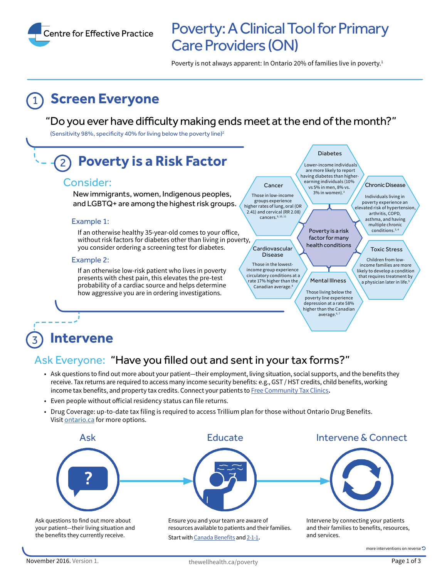

# Poverty: A Clinical Tool for Primary Care Providers (ON)

Poverty is not always apparent: In Ontario 20% of families live in poverty.<sup>1</sup>

# **Screen Everyone**

#### "Do you ever have difficulty making ends meet at the end of the month?"

(Sensitivity 98%, specificity 40% for living below the poverty line)<sup>2</sup>



#### 3 **Intervene**

### Ask Everyone: "Have you filled out and sent in your tax forms?"

- Ask questions to find out more about your patient—their employment, living situation, social supports, and the benefits they receive. Tax returns are required to access many income security benefits: e.g., GST / HST credits, child benefits, working income tax benefits, and property tax credits. Connect your patients to [Free Community Tax Clinics](http://www.cra-arc.gc.ca/tx/ndvdls/vlntr/clncs/on-eng.html)**.**
- Even people without oficial residency status can file returns.
- Drug Coverage: up-to-date tax filing is required to access Trillium plan for those without Ontario Drug Benefits. Visit [ontario.ca](https://www.ontario.ca/page/get-help-high-prescription-drug-costs) for more options.



Ask questions to find out more about your patient—their living situation and the benefits they currently receive.

Ensure you and your team are aware of resources available to patients and their families. Start with [Canada Benefits](http://www.canadabenefits.gc.ca) and [2-1-1](http://www.211ontario.ca)**.** 

Intervene by connecting your patients and their families to benefits, resources, and services.

more interventions on reverse 5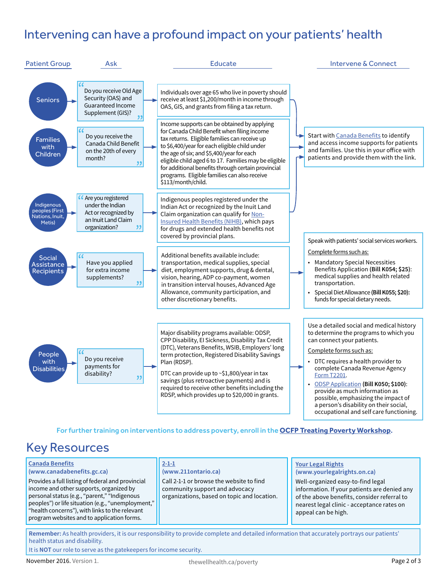## Intervening can have a profound impact on your patients' health



For further training on interventions to address poverty, enroll in the **[OCFP Treating Poverty Workshop](http://www.ocfp.on.ca/cpd/povertytool)**.

## Key Resources

| <b>Canada Benefits</b><br>(www.canadabenefits.gc.ca)<br>Provides a full listing of federal and provincial<br>income and other supports, organized by<br>personal status (e.g., "parent," "Indigenous<br>peoples") or life situation (e.g., "unemployment,"<br>"health concerns"), with links to the relevant | $2 - 1 - 1$<br>(www.211ontario.ca)<br>Call 2-1-1 or browse the website to find<br>community support and advocacy<br>organizations, based on topic and location. | <b>Your Legal Rights</b><br>(www.yourlegalrights.on.ca)<br>Well-organized easy-to-find legal<br>information. If your patients are denied any<br>of the above benefits, consider referral to<br>nearest legal clinic - acceptance rates on<br>appeal can be high. |
|--------------------------------------------------------------------------------------------------------------------------------------------------------------------------------------------------------------------------------------------------------------------------------------------------------------|-----------------------------------------------------------------------------------------------------------------------------------------------------------------|------------------------------------------------------------------------------------------------------------------------------------------------------------------------------------------------------------------------------------------------------------------|
| program websites and to application forms.                                                                                                                                                                                                                                                                   |                                                                                                                                                                 |                                                                                                                                                                                                                                                                  |

**Remember:** As health providers, it is our responsibility to provide complete and detailed information that accurately portrays our patients' health status and disability.

It is **NOT** our role to serve as the gatekeepers for income security.